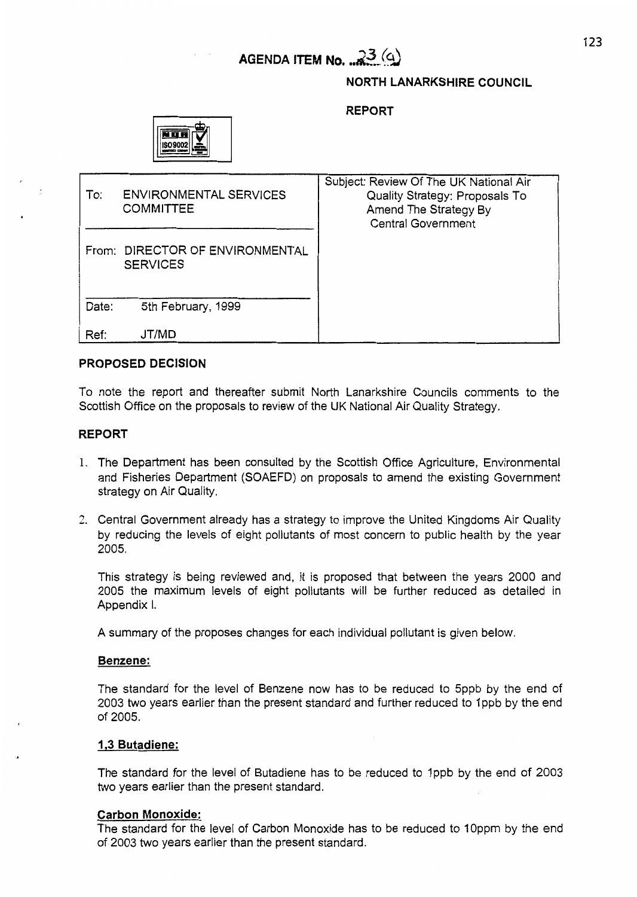#### **NORTH LANARKSHIRE COUNCIL**

**REPORT** 



| To:   | <b>ENVIRONMENTAL SERVICES</b><br><b>COMMITTEE</b>  | Subject: Review Of The UK National Air<br>Quality Strategy: Proposals To<br>Amend The Strategy By<br><b>Central Government</b> |
|-------|----------------------------------------------------|--------------------------------------------------------------------------------------------------------------------------------|
|       | From: DIRECTOR OF ENVIRONMENTAL<br><b>SERVICES</b> |                                                                                                                                |
| Date: | 5th February, 1999                                 |                                                                                                                                |
| Ref:  | JT/MD                                              |                                                                                                                                |

### **PROPOSED DECISION**

To note the report and thereafter submit North Lanarkshire Councils comments to the Scottish Office on the proposals to review of the UK National Air Quality Strategy.

### **REPORT**

- 1. The Department has been consulted by the Scottish Office Agriculture, Environmental and Fisheries Department (SOAEFD) on proposals to amend the existing Government strategy on Air Quality.
- 2. Central Government already has a strategy to improve the United Kingdoms Air Quality by reducing the levels of eight pollutants of most concern to public health by the year 2005.

This strategy is being reviewed and, it is proposed that between the years 2000 and 2005 the maximum levels of eight pollutants will be further reduced as detailed in Appendix I.

A summary of the proposes changes for each individual pollutant is given below.

#### **Benzene:**

The standard for the level of Benzene now has to be reduced to 5ppb by the end of 2003 two years earlier than the present standard and further reduced to 1 ppb by the end of 2005.

### **1.3 Butadiene:**

The standard for the level of Butadiene has to be reduced to Ippb by the end of 2003 two years earlier than the present standard.

### **Carbon Monoxide:**

The standard for the level of Carbon Monoxide has to be reduced to 10ppm by the end of 2003 two years earlier than the present standard.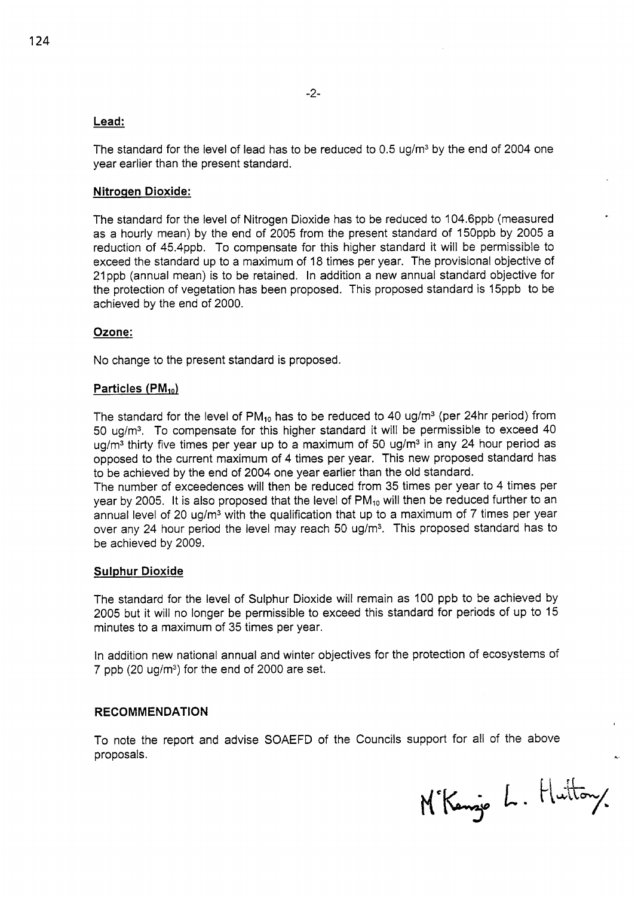## **Lead:**

The standard for the level of lead has to be reduced to 0.5 ug/ $m<sup>3</sup>$  by the end of 2004 one year earlier than the present standard.

## **Nitrogen Dioxide:**

The standard for the level of Nitrogen Dioxide has to be reduced to 104.6ppb (measured as a hourly mean) by the end of 2005 from the present standard of I5Oppb by 2005 a reduction of 45.4ppb. To compensate for this higher standard it will be permissible to exceed the standard up to a maximum of 18 times per year. The provisional objective of 2lppb (annual mean) is to be retained. In addition a new annual standard objective for the protection of vegetation has been proposed. This proposed standard is 15ppb to be achieved by the end of 2000.

### **Ozone:**

No change to the present standard is proposed.

### **Particles (PM<sub>10</sub>)**

The standard for the level of  $PM_{10}$  has to be reduced to 40 ug/m<sup>3</sup> (per 24hr period) from 50 ug/m3. To compensate for this higher standard it will be permissible to exceed 40 ug/ $m<sup>3</sup>$  thirty five times per year up to a maximum of 50 ug/ $m<sup>3</sup>$  in any 24 hour period as opposed to the current maximum of 4 times per year. This new proposed standard has to be achieved by the end of 2004 one year earlier than the old standard.

The number of exceedences will then be reduced from 35 times per year to 4 times per year by 2005. It is also proposed that the level of  $PM_{10}$  will then be reduced further to an annual level of 20 ug/m<sup>3</sup> with the qualification that up to a maximum of 7 times per year over any 24 hour period the level may reach 50 ug/m<sup>3</sup>. This proposed standard has to be achieved by 2009.

### **Sulphur Dioxide**

The standard for the level of Sulphur Dioxide will remain as 100 ppb to be achieved by 2005 but it will no longer be permissible to exceed this standard for periods of up to 15 minutes to a maximum of 35 times per year.

In addition new national annual and winter objectives for the protection of ecosystems of 7 ppb  $(20 \text{ u}g/m^3)$  for the end of 2000 are set.

### **RECOMMENDATION**

To note the report and advise SOAEFD of the Councils support for all of the above proposals. **4** 

M'Kenzje L. Huttony.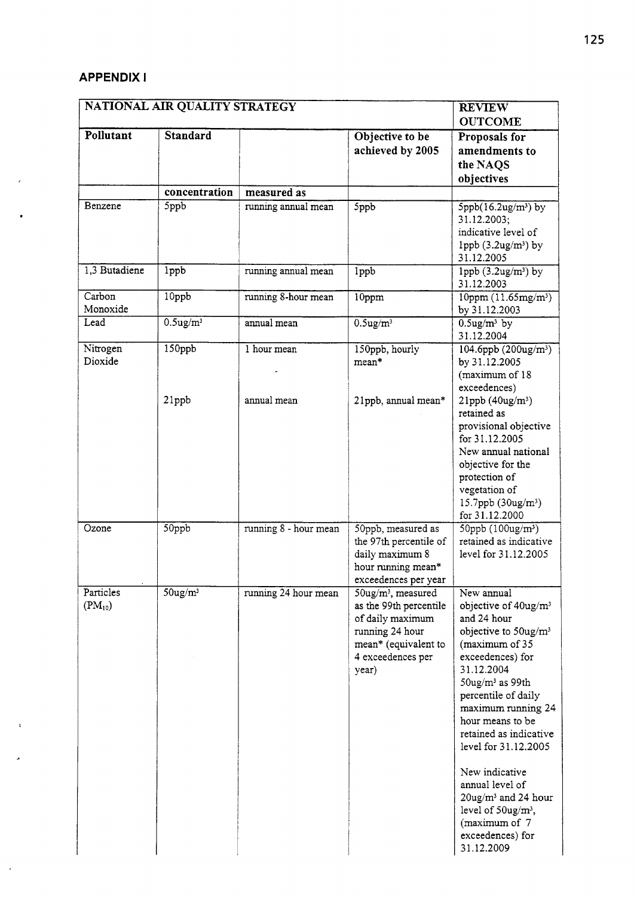# **APPENDIX <sup>I</sup>**

 $\mathbf{r}$ 

J.

 $\overline{\phantom{a}}$ 

| <b>APPENDIX I</b><br><b>REVIEW</b> |                               |                       |                                                                                                                                                          |                                                                                                                                                                                                                                                                                                                                                                                                                                                        |  |  |  |
|------------------------------------|-------------------------------|-----------------------|----------------------------------------------------------------------------------------------------------------------------------------------------------|--------------------------------------------------------------------------------------------------------------------------------------------------------------------------------------------------------------------------------------------------------------------------------------------------------------------------------------------------------------------------------------------------------------------------------------------------------|--|--|--|
|                                    | NATIONAL AIR QUALITY STRATEGY |                       |                                                                                                                                                          |                                                                                                                                                                                                                                                                                                                                                                                                                                                        |  |  |  |
| Pollutant                          | Standard                      |                       | Objective to be<br>achieved by 2005                                                                                                                      | <b>OUTCOME</b><br>Proposals for<br>amendments to<br>the NAQS<br>objectives                                                                                                                                                                                                                                                                                                                                                                             |  |  |  |
|                                    | concentration                 | measured as           |                                                                                                                                                          |                                                                                                                                                                                                                                                                                                                                                                                                                                                        |  |  |  |
| Benzene                            | 5ppb                          | running annual mean   | 5ppb                                                                                                                                                     | $5$ ppb $(16.2$ ug/m <sup>3</sup> ) by<br>31.12.2003;<br>indicative level of<br>1ppb $(3.2ug/m3)$ by<br>31.12.2005                                                                                                                                                                                                                                                                                                                                     |  |  |  |
| 1,3 Butadiene                      | 1ppb                          | running annual mean   | 1ppb                                                                                                                                                     | 1ppb $(3.2$ ug/m <sup>3</sup> ) by<br>31.12.2003                                                                                                                                                                                                                                                                                                                                                                                                       |  |  |  |
| Carbon<br>Monoxide                 | 10ppb                         | running 8-hour mean   | 10ppm                                                                                                                                                    | $10$ ppm $(11.65$ mg/m <sup>3</sup> )<br>by 31.12.2003                                                                                                                                                                                                                                                                                                                                                                                                 |  |  |  |
| Lead                               | $0.5$ ug/m $3$                | annual mean           | $0.5$ ug/m <sup>3</sup>                                                                                                                                  | $0.5$ ug/m <sup>3</sup> by<br>31.12.2004                                                                                                                                                                                                                                                                                                                                                                                                               |  |  |  |
| Nitrogen<br>Dioxide                | 150ppb                        | 1 hour mean           | 150ppb, hourly<br>mean*                                                                                                                                  | $104.6$ ppb $(200$ ug/m <sup>3</sup> )<br>by 31.12.2005<br>(maximum of 18<br>exceedences)                                                                                                                                                                                                                                                                                                                                                              |  |  |  |
|                                    | 21ppb                         | annual mean           | 21ppb, annual mean*                                                                                                                                      | $21$ ppb $(40ug/m3)$<br>retained as<br>provisional objective<br>for 31.12.2005<br>New annual national<br>objective for the<br>protection of<br>vegetation of<br>$15.7$ ppb $(30ug/m3)$<br>for 31.12.2000                                                                                                                                                                                                                                               |  |  |  |
| Ozone                              | 50ppb                         | running 8 - hour mean | 50ppb, measured as<br>the 97th percentile of<br>daily maximum 8<br>hour running mean*<br>exceedences per year                                            | 50ppb $(100$ ug/m <sup>3</sup> )<br>retained as indicative<br>level for 31.12.2005                                                                                                                                                                                                                                                                                                                                                                     |  |  |  |
| Particles<br>$(PM_{10})$           | $50$ ug/m <sup>3</sup>        | running 24 hour mean  | $50$ ug/m <sup>3</sup> , measured<br>as the 99th percentile<br>of daily maximum<br>running 24 hour<br>mean* (equivalent to<br>4 exceedences per<br>year) | New annual<br>objective of 40ug/m <sup>3</sup><br>and 24 hour<br>objective to 50ug/m <sup>3</sup><br>(maximum of 35<br>exceedences) for<br>31.12.2004<br>$50$ ug/ $m3$ as 99th<br>percentile of daily<br>maximum running 24<br>hour means to be<br>retained as indicative<br>level for 31.12.2005<br>New indicative<br>annual level of<br>$20$ ug/m <sup>3</sup> and 24 hour<br>level of $50$ ug/m <sup>3</sup> ,<br>(maximum of 7<br>exceedences) for |  |  |  |